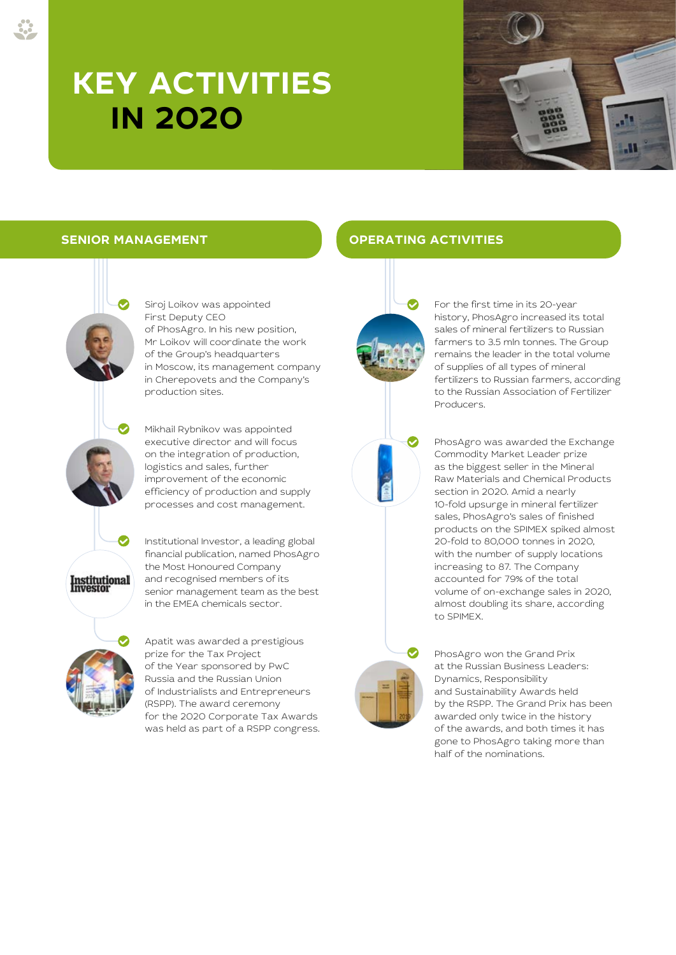# **KEY ACTIVITIES IN 2020**





Siroj Loikov was appointed First Deputy CEO of PhosAgro. In his new position, Mr Loikov will coordinate the work of the Group's headquarters in Moscow, its management company in Cherepovets and the Company's production sites.

Mikhail Rybnikov was appointed executive director and will focus on the integration of production, logistics and sales, further improvement of the economic efficiency of production and supply processes and cost management.

Institutional Investor, a leading global financial publication, named PhosAgro the Most Honoured Company and recognised members of its senior management team as the best in the EMEA chemicals sector.



Apatit was awarded a prestigious prize for the Tax Project of the Year sponsored by PwC Russia and the Russian Union of Industrialists and Entrepreneurs (RSPP). The award ceremony for the 2020 Corporate Tax Awards was held as part of a RSPP congress.

### **SENIOR MANAGEMENT OPERATING ACTIVITIES**





For the first time in its 20-year history, PhosAgro increased its total sales of mineral fertilizers to Russian farmers to 3.5 mln tonnes. The Group remains the leader in the total volume of supplies of all types of mineral fertilizers to Russian farmers, according to the Russian Association of Fertilizer Producers.

PhosAgro was awarded the Exchange Commodity Market Leader prize as the biggest seller in the Mineral Raw Materials and Chemical Products section in 2020. Amid a nearly 10-fold upsurge in mineral fertilizer sales, PhosAgro's sales of finished products on the SPIMEX spiked almost 20-fold to 80,000 tonnes in 2020, with the number of supply locations increasing to 87. The Company accounted for 79% of the total volume of on-exchange sales in 2020, almost doubling its share, according to SPIMEX.



PhosAgro won the Grand Prix at the Russian Business Leaders: Dynamics, Responsibility and Sustainability Awards held by the RSPP. The Grand Prix has been awarded only twice in the history of the awards, and both times it has gone to PhosAgro taking more than half of the nominations.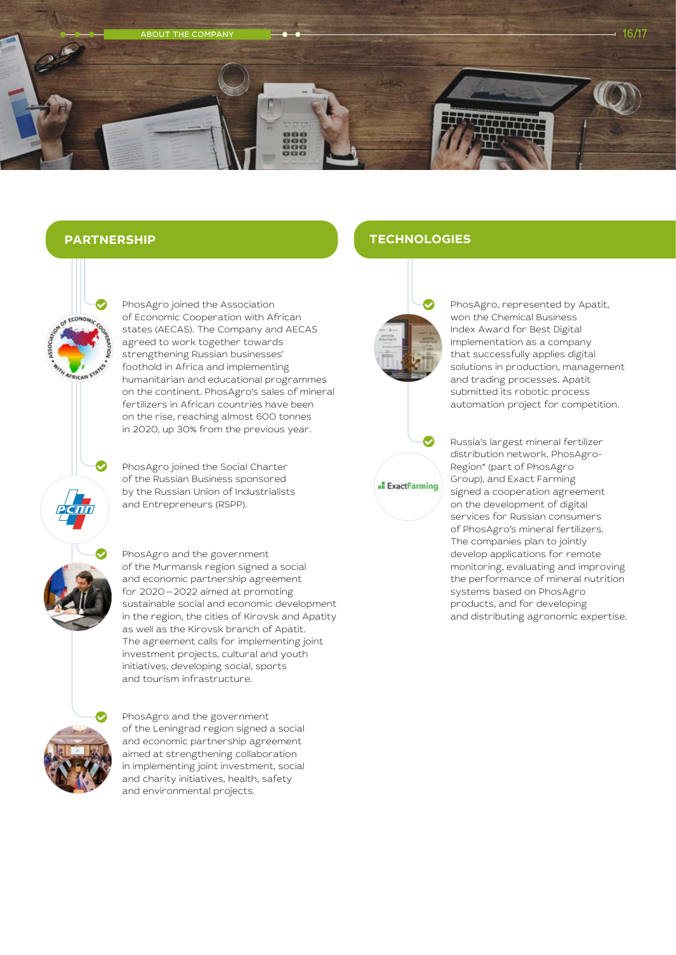

## **PARTNERSHIP**

PhosAgro joined the Association of Economic Cooperation with African states (AECAS). The Company and AECAS agreed to work together towards strengthening Russian businesses' foothold in Africa and implementing humanitarian and educational programmes on the continent. PhosAgro's sales of mineral fertilizers in African countries have been on the rise, reaching almost 600 tonnes in 2020, up 30% from the previous year.

PhosAgro joined the Social Charter of the Russian Business sponsored by the Russian Union of Industrialists and Entrepreneurs (RSPP).

PhosAgro and the government of the Murmansk region signed a social and economic partnership agreement for 2020—2022 aimed at promoting sustainable social and economic development in the region, the cities of Kirovsk and Apatity as well as the Kirovsk branch of Apatit. The agreement calls for implementing joint investment projects, cultural and youth initiatives, developing social, sports and tourism infrastructure.



PhosAgro and the government of the Leningrad region signed a social and economic partnership agreement aimed at strengthening collaboration in implementing joint investment, social and charity initiatives, health, safety and environmental projects.

### **TECHNOLOGIES**





PhosAgro, represented by Apatit, won the Chemical Business Index Award for Best Digital Implementation as a company that successfully applies digital solutions in production, management and trading processes. Apatit submitted its robotic process automation project for competition.

Russia's largest mineral fertilizer distribution network, PhosAgro-Region\* (part of PhosAgro Group), and Exact Farming signed a cooperation agreement on the development of digital services for Russian consumers of PhosAgro's mineral fertilizers. The companies plan to jointly develop applications for remote monitoring, evaluating and improving the performance of mineral nutrition systems based on PhosAgro products, and for developing and distributing agronomic expertise.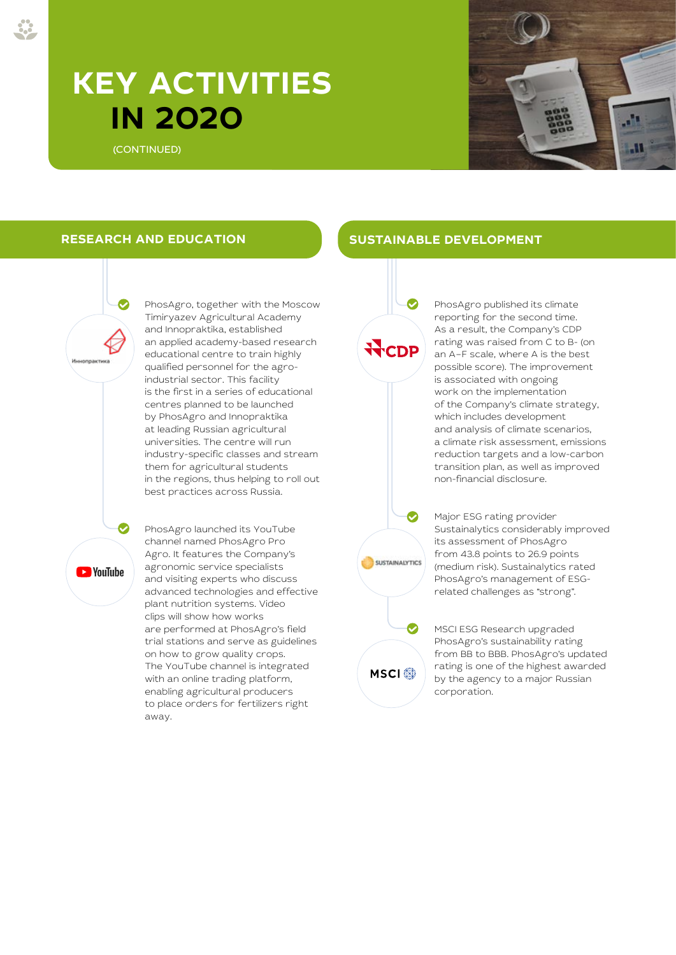## **KEY ACTIVITIES IN 2020**

(CONTINUED)



PhosAgro, together with the Moscow Timiryazev Agricultural Academy and Innopraktika, established an applied academy-based research educational centre to train highly qualified personnel for the agroindustrial sector. This facility is the first in a series of educational centres planned to be launched by PhosAgro and Innopraktika at leading Russian agricultural universities. The centre will run industry-specific classes and stream them for agricultural students in the regions, thus helping to roll out best practices across Russia.

**NouTube** 

channel named PhosAgro Pro Agro. It features the Company's agronomic service specialists and visiting experts who discuss advanced technologies and effective plant nutrition systems. Video clips will show how works are performed at PhosAgro's field trial stations and serve as guidelines on how to grow quality crops. The YouTube channel is integrated with an online trading platform, enabling agricultural producers to place orders for fertilizers right away.

PhosAgro launched its YouTube

#### **RESEARCH AND EDUCATION SUSTAINABLE DEVELOPMENT**



PhosAgro published its climate reporting for the second time. As a result, the Company's CDP rating was raised from C to B- (on an A–F scale, where A is the best possible score). The improvement is associated with ongoing work on the implementation of the Company's climate strategy, which includes development and analysis of climate scenarios, a climate risk assessment, emissions reduction targets and a low-carbon transition plan, as well as improved non-financial disclosure.

Major ESG rating provider Sustainalytics considerably improved its assessment of PhosAgro from 43.8 points to 26.9 points (medium risk). Sustainalytics rated PhosAgro's management of ESGrelated challenges as "strong".

**MSCI**<sup>®</sup>

**SUSTAINALYTICS** 

MSCI ESG Research upgraded PhosAgro's sustainability rating from BB to BBB. PhosAgro's updated rating is one of the highest awarded by the agency to a major Russian corporation.